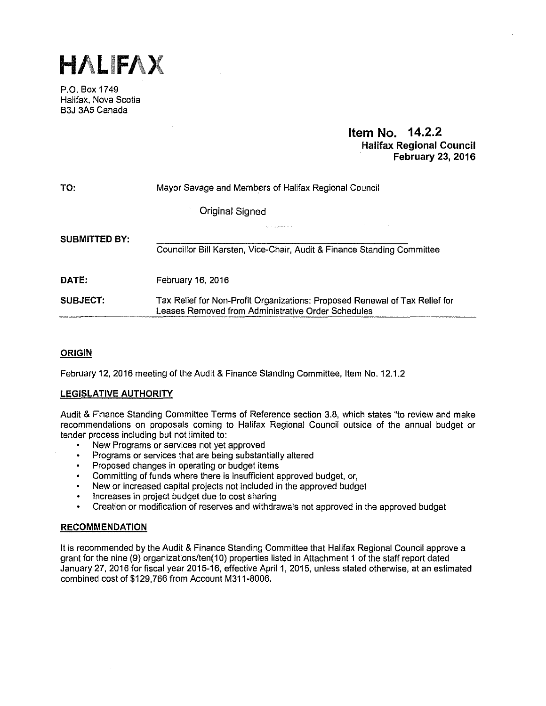

P.O. Box 1749 Halifax, Nova Scotia B3J 3A5 Canada

# **Item No. 14.2.2 Halifax Regional Council February 23, 2016**

| TO:                  | Mayor Savage and Members of Halifax Regional Council                                                                              |  |  |  |  |
|----------------------|-----------------------------------------------------------------------------------------------------------------------------------|--|--|--|--|
|                      | Original Signed                                                                                                                   |  |  |  |  |
| <b>SUBMITTED BY:</b> | and the company                                                                                                                   |  |  |  |  |
|                      | Councillor Bill Karsten, Vice-Chair, Audit & Finance Standing Committee                                                           |  |  |  |  |
| DATE:                | February 16, 2016                                                                                                                 |  |  |  |  |
| <b>SUBJECT:</b>      | Tax Relief for Non-Profit Organizations: Proposed Renewal of Tax Relief for<br>Leases Removed from Administrative Order Schedules |  |  |  |  |

# **ORIGIN**

February 12, 2016 meeting of the Audit & Finance Standing Committee, Item No. 12.1.2

# **LEGISLATIVE AUTHORITY**

Audit & Finance Standing Committee Terms of Reference section 3.8, which states "to review and make recommendations on proposals coming to Halifax Regional Council outside of the annual budget or tender process including but not limited to:

- New Programs or services not yet approved
- Programs or services that are being substantially altered
- Proposed changes in operating or budget items
- Committing of funds where there is insufficient approved budget, or,
- New or increased capital projects not included in the approved budget
- Increases in project budget due to cost sharing
- Creation or modification of reserves and withdrawals not approved in the approved budget

## **RECOMMENDATION**

It is recommended by the Audit & Finance Standing Committee that Halifax Regional Council approve a grant for the nine (9) organizations/ten(10) properties listed in Attachment 1 of the staff report dated January 27, 2016 for fiscal year 2015-16, effective April 1, 2015, unless stated otherwise, at an estimated combined cost of \$129, 766 from Account M311-8006.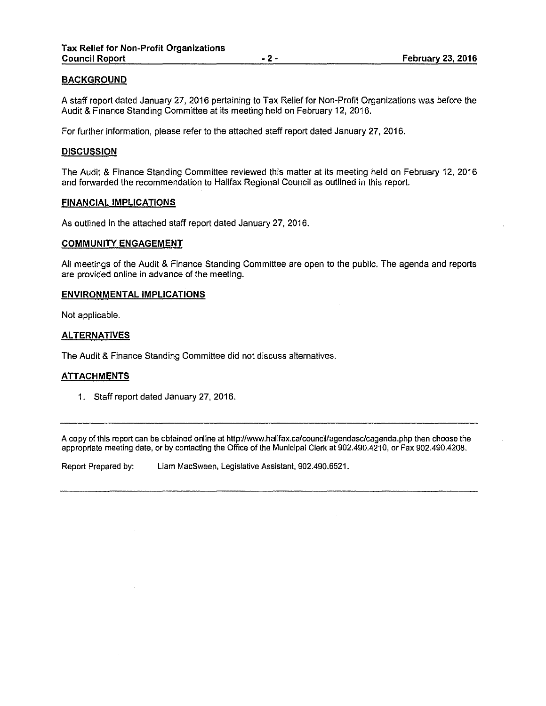## **BACKGROUND**

A staff report dated January 27, 2016 pertaining to Tax Relieffor Non-Profit Organizations was before the Audit & Finance Standing Committee at its meeting held on February 12, 2016.

For further information, please refer to the attached staff report dated January 27, 2016.

## **DISCUSSION**

The Audit & Finance Standing Committee reviewed this matter at its meeting held on February 12, 2016 and forwarded the recommendation to Halifax Regional Council as outlined in this report.

#### **FINANCIAL IMPLICATIONS**

As outlined in the attached staff report dated January 27, 2016.

#### **COMMUNITY ENGAGEMENT**

All meetings of the Audit & Finance Standing Committee are open to the public. The agenda and reports are provided online in advance of the meeting.

## **ENVIRONMENTAL IMPLICATIONS**

Not applicable.

### **ALTERNATIVES**

The Audit & Finance Standing Committee did not discuss alternatives.

## **ATTACHMENTS**

1. Staff report dated January 27, 2016.

A copy of this report can be obtained online at http://www.halifax.ca/council/agendasc/cagenda.php then choose the appropriate meeting date, or by contacting the Office of the Municipal Clerk at 902.490.4210, or Fax 902.490.4208.

Report Prepared by: Liam MacSween, Legislative Assistant, 902.490.6521.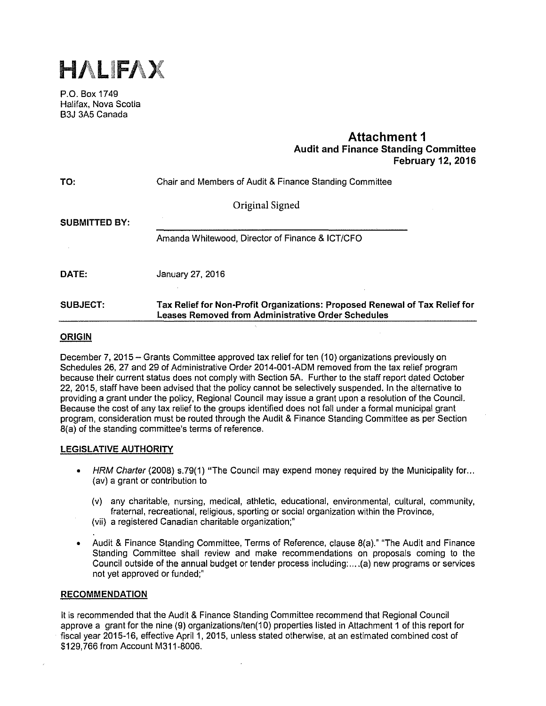

P.O. Box 1749 Halifax, Nova Scotia B3J 3A5 Canada

# **Attachment 1 Audit and Finance Standing Committee February 12, 2016**

| TO:                  | Chair and Members of Audit & Finance Standing Committee                                                                                  |  |  |  |
|----------------------|------------------------------------------------------------------------------------------------------------------------------------------|--|--|--|
|                      | Original Signed                                                                                                                          |  |  |  |
| <b>SUBMITTED BY:</b> |                                                                                                                                          |  |  |  |
|                      | Amanda Whitewood, Director of Finance & ICT/CFO                                                                                          |  |  |  |
| DATE:                | January 27, 2016                                                                                                                         |  |  |  |
| SUBJECT:             | Tax Relief for Non-Profit Organizations: Proposed Renewal of Tax Relief for<br><b>Leases Removed from Administrative Order Schedules</b> |  |  |  |

## **ORIGIN**

December 7, 2015 - Grants Committee approved tax relief for ten (10) organizations previously on Schedules 26, 27 and 2g of Administrative Order 2014-001-ADM removed from the tax relief program because their current status does not comply with Section 5A. Further to the staff report dated October 22, 2015, staff have been advised that the policy cannot be selectively suspended. In the alternative to providing a grant under the policy, Regional Council may issue a grant upon a resolution of the Council. Because the cost of any tax relief to the groups identified does not fall under a formal municipal grant program, consideration must be routed through the Audit & Finance Standing Committee as per Section B(a) of the standing committee's terms of reference.

## **LEGISLATIVE AUTHORITY**

- HRM Charter (2008) s.79(1) "The Council may expend money required by the Municipality for... (av) a grant or contribution to
	- (v) any charitable, nursing, medical, athletic, educational, environmental, cultural, community, fraternal, recreational, religious, sporting or social organization within the Province,
	- (vii) a registered Canadian charitable organization;"
- Audit & Finance Standing Committee, Terms of Reference, clause B(a)." "The Audit and Finance Standing Committee shall review and make recommendations on proposals coming to the Council outside of the annual budget or tender process including: .... (a) new programs or services not yet approved or funded;"

### **RECOMMENDATION**

It is recommended that the Audit & Finance Standing Committee recommend that Regional Council approve a grant for the nine (9) organizations/ten(10) properties listed in Attachment **1** of this report for fiscal year 2015-16, effective April 1, 2015, unless stated otherwise, at an estimated combined cost of \$129,766 from Account M311-8006.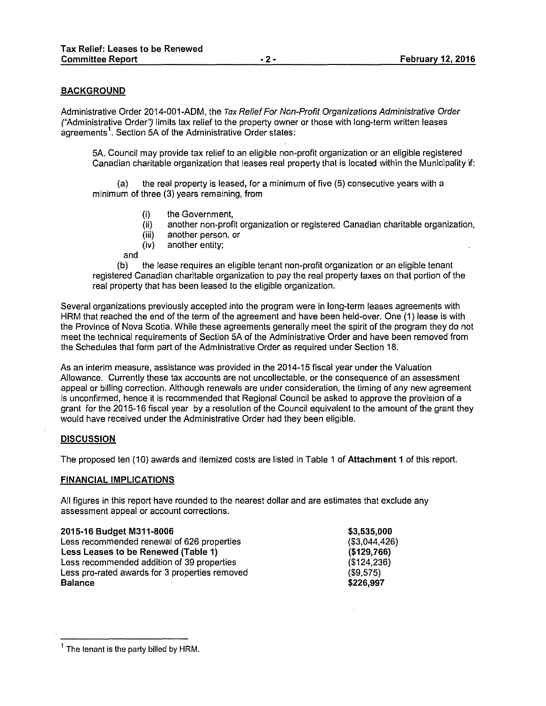## **BACKGROUND**

Administrative Order 2014-001-ADM, the Tax Relief For Non-Profit Organizations Administrative Order ("Administrative Order'J limits tax relief to the property owner or those with long-term written leases agreements<sup>1</sup>. Section 5A of the Administrative Order states:

5A. Council may provide tax relief to an eligible non-profit organization or an eligible registered Canadian charitable organization that leases real property that is located within the Municipality if:

(a) the real property is leased, for a minimum of five (5) consecutive years with a minimum of three (3) years remaining, from

- (i) the Government,
- (ii) another non-profit organization or registered Canadian charitable organization,
- (iii) another person, or
- (iv) another entity;

and

(b) the lease requires an eligible tenant non-profit organization or an eligible tenant registered Canadian charitable organization to pay the real property taxes on that portion of the real property that has been leased to the eligible organization.

Several organizations previously accepted into the program were in long-term leases agreements with HRM that reached the end of the term of the agreement and have been held-over. One **(1)** lease is with the Province of Nova Scotia. While these agreements generally meet the spirit of the program they do not meet the technical requirements of Section 5A of the Administrative Order and have been removed from the Schedules that form part of the Administrative Order as required under Section 18.

As an interim measure, assistance was provided in the 2014-15 fiscal year under the Valuation Allowance. Currently these tax accounts are not uncollectable, or the consequence of an assessment appeal or billing correction. Although renewals are under consideration, the timing of any new agreement is unconfirmed, hence **it** is recommended that Regional Council be asked to approve the provision of a grant for the 2015-16 fiscal year by a resolution of the Council equivalent to the amount of the grant they would have received under the Administrative Order had they been eligible.

#### **DISCUSSION**

The proposed ten (10) awards and itemized costs are listed in Table 1 of **Attachment 1** of this report.

#### **FINANCIAL IMPLICATIONS**

All figures in this report have rounded to the nearest dollar and are estimates that exclude any assessment appeal or account corrections.

#### **2015-16 Budget M311-8006**

Less recommended renewal of 626 properties **Less Leases to be Renewed (Table 1)**  Less recommended addition of 39 properties Less pro-rated awards for 3 properties removed **Balance** 

**\$3,535,000**  (\$3,044,426) **(\$129,766)**  (\$124,236) (\$9,575) **\$226,997** 

The tenant is the party billed by HRM.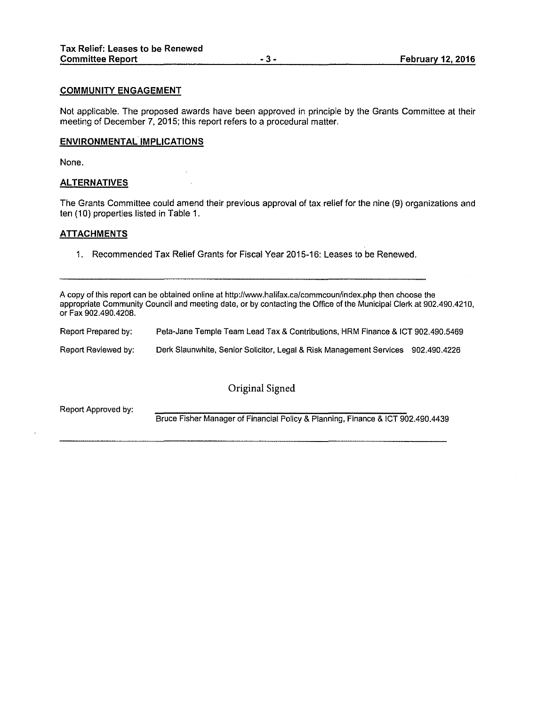#### **COMMUNITY ENGAGEMENT**

Not applicable. The proposed awards have been approved in principle by the Grants Committee at their meeting of December 7, 2015; this report refers to a procedural matter.

#### **ENVIRONMENTAL IMPLICATIONS**

None.

#### **ALTERNATIVES**

The Grants Committee could amend their previous approval of tax relief for the nine (9) organizations and ten (10) properties listed in Table 1.

#### **ATTACHMENTS**

1. Recommended Tax Relief Grants for Fiscal Year 2015-16: Leases to be Renewed.

A copy of this report can be obtained online at http://www.halifax.ca/commcoun/index.php then choose the appropriate Community Council and meeting date, or by contacting the Office of the Municipal Clerk at 902.490.4210, or Fax 902.490.4208.

| Report Prepared by:        | Peta-Jane Temple Team Lead Tax & Contributions, HRM Finance & ICT 902.490.5469   |  |
|----------------------------|----------------------------------------------------------------------------------|--|
| <b>Report Reviewed by:</b> | Derk Slaunwhite, Senior Solicitor, Legal & Risk Management Services 902.490.4226 |  |

# Original Signed

Report Approved by:

Bruce Fisher Manager of Financial Policy & Planning, Finance & ICT 902.490.4439